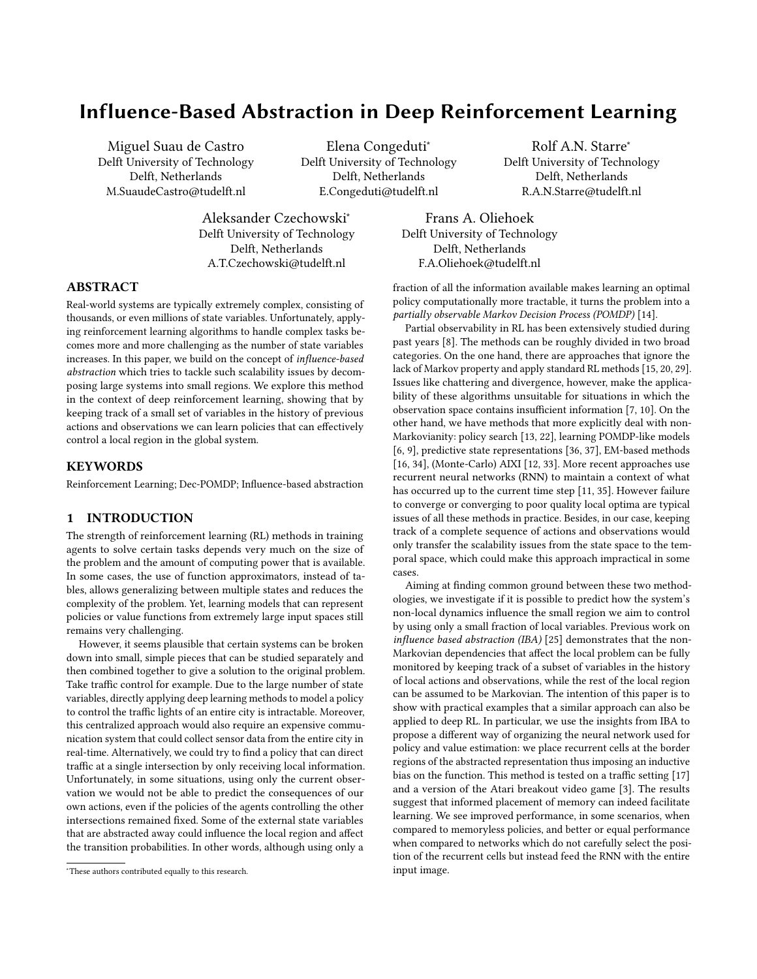# Influence-Based Abstraction in Deep Reinforcement Learning

Miguel Suau de Castro Delft University of Technology Delft, Netherlands M.SuaudeCastro@tudelft.nl

Elena Congeduti<sup>∗</sup> Delft University of Technology Delft, Netherlands E.Congeduti@tudelft.nl

Rolf A.N. Starre<sup>∗</sup> Delft University of Technology Delft, Netherlands R.A.N.Starre@tudelft.nl

Aleksander Czechowski<sup>∗</sup> Delft University of Technology Delft, Netherlands A.T.Czechowski@tudelft.nl

Frans A. Oliehoek Delft University of Technology Delft, Netherlands F.A.Oliehoek@tudelft.nl

# ABSTRACT

Real-world systems are typically extremely complex, consisting of thousands, or even millions of state variables. Unfortunately, applying reinforcement learning algorithms to handle complex tasks becomes more and more challenging as the number of state variables increases. In this paper, we build on the concept of influence-based abstraction which tries to tackle such scalability issues by decomposing large systems into small regions. We explore this method in the context of deep reinforcement learning, showing that by keeping track of a small set of variables in the history of previous actions and observations we can learn policies that can effectively control a local region in the global system.

# KEYWORDS

Reinforcement Learning; Dec-POMDP; Influence-based abstraction

# 1 INTRODUCTION

The strength of reinforcement learning (RL) methods in training agents to solve certain tasks depends very much on the size of the problem and the amount of computing power that is available. In some cases, the use of function approximators, instead of tables, allows generalizing between multiple states and reduces the complexity of the problem. Yet, learning models that can represent policies or value functions from extremely large input spaces still remains very challenging.

However, it seems plausible that certain systems can be broken down into small, simple pieces that can be studied separately and then combined together to give a solution to the original problem. Take traffic control for example. Due to the large number of state variables, directly applying deep learning methods to model a policy to control the traffic lights of an entire city is intractable. Moreover, this centralized approach would also require an expensive communication system that could collect sensor data from the entire city in real-time. Alternatively, we could try to find a policy that can direct traffic at a single intersection by only receiving local information. Unfortunately, in some situations, using only the current observation we would not be able to predict the consequences of our own actions, even if the policies of the agents controlling the other intersections remained fixed. Some of the external state variables that are abstracted away could influence the local region and affect the transition probabilities. In other words, although using only a

fraction of all the information available makes learning an optimal policy computationally more tractable, it turns the problem into a partially observable Markov Decision Process (POMDP) [\[14\]](#page-7-0).

Partial observability in RL has been extensively studied during past years [\[8\]](#page-7-1). The methods can be roughly divided in two broad categories. On the one hand, there are approaches that ignore the lack of Markov property and apply standard RL methods [\[15,](#page-7-2) [20,](#page-7-3) [29\]](#page-7-4). Issues like chattering and divergence, however, make the applicability of these algorithms unsuitable for situations in which the observation space contains insufficient information [\[7,](#page-7-5) [10\]](#page-7-6). On the other hand, we have methods that more explicitly deal with non-Markovianity: policy search [\[13,](#page-7-7) [22\]](#page-7-8), learning POMDP-like models [\[6,](#page-7-9) [9\]](#page-7-10), predictive state representations [\[36,](#page-7-11) [37\]](#page-7-12), EM-based methods [\[16,](#page-7-13) [34\]](#page-7-14), (Monte-Carlo) AIXI [\[12,](#page-7-15) [33\]](#page-7-16). More recent approaches use recurrent neural networks (RNN) to maintain a context of what has occurred up to the current time step [\[11,](#page-7-17) [35\]](#page-7-18). However failure to converge or converging to poor quality local optima are typical issues of all these methods in practice. Besides, in our case, keeping track of a complete sequence of actions and observations would only transfer the scalability issues from the state space to the temporal space, which could make this approach impractical in some cases.

Aiming at finding common ground between these two methodologies, we investigate if it is possible to predict how the system's non-local dynamics influence the small region we aim to control by using only a small fraction of local variables. Previous work on influence based abstraction (IBA) [\[25\]](#page-7-19) demonstrates that the non-Markovian dependencies that affect the local problem can be fully monitored by keeping track of a subset of variables in the history of local actions and observations, while the rest of the local region can be assumed to be Markovian. The intention of this paper is to show with practical examples that a similar approach can also be applied to deep RL. In particular, we use the insights from IBA to propose a different way of organizing the neural network used for policy and value estimation: we place recurrent cells at the border regions of the abstracted representation thus imposing an inductive bias on the function. This method is tested on a traffic setting [\[17\]](#page-7-20) and a version of the Atari breakout video game [\[3\]](#page-7-21). The results suggest that informed placement of memory can indeed facilitate learning. We see improved performance, in some scenarios, when compared to memoryless policies, and better or equal performance when compared to networks which do not carefully select the position of the recurrent cells but instead feed the RNN with the entire input image.

<sup>∗</sup>These authors contributed equally to this research.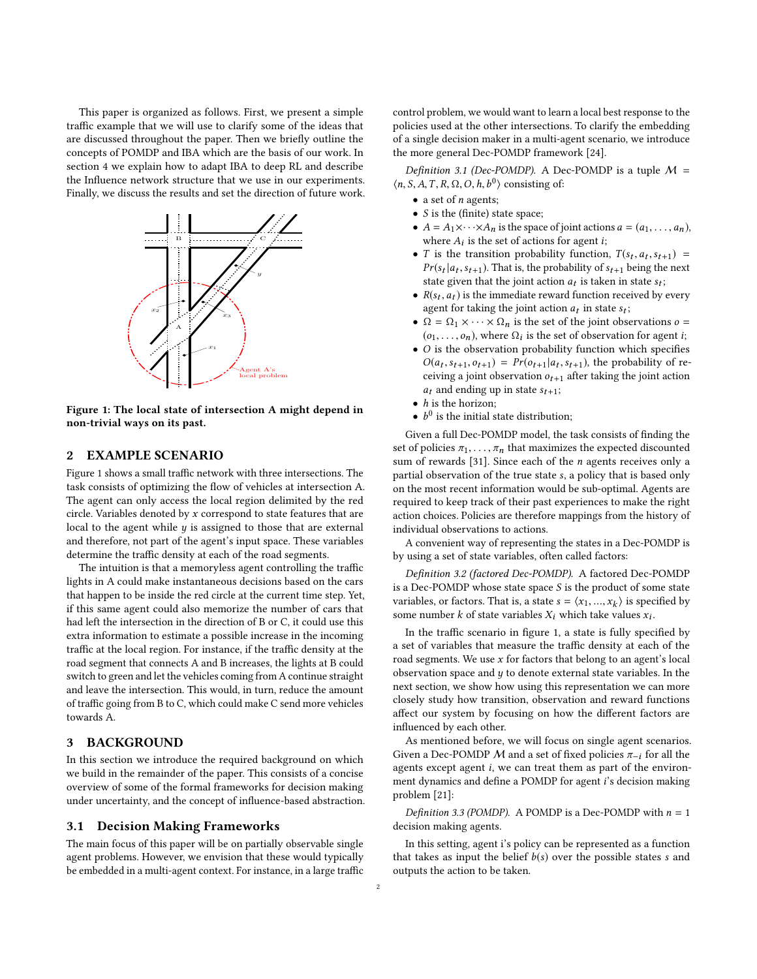This paper is organized as follows. First, we present a simple traffic example that we will use to clarify some of the ideas that are discussed throughout the paper. Then we briefly outline the concepts of POMDP and IBA which are the basis of our work. In section 4 we explain how to adapt IBA to deep RL and describe the Influence network structure that we use in our experiments. Finally, we discuss the results and set the direction of future work.

<span id="page-1-0"></span>

Figure 1: The local state of intersection A might depend in non-trivial ways on its past.

# 2 EXAMPLE SCENARIO

Figure [1](#page-1-0) shows a small traffic network with three intersections. The task consists of optimizing the flow of vehicles at intersection A. The agent can only access the local region delimited by the red circle. Variables denoted by  $x$  correspond to state features that are local to the agent while  $y$  is assigned to those that are external and therefore, not part of the agent's input space. These variables determine the traffic density at each of the road segments.

The intuition is that a memoryless agent controlling the traffic lights in A could make instantaneous decisions based on the cars that happen to be inside the red circle at the current time step. Yet, if this same agent could also memorize the number of cars that had left the intersection in the direction of B or C, it could use this extra information to estimate a possible increase in the incoming traffic at the local region. For instance, if the traffic density at the road segment that connects A and B increases, the lights at B could switch to green and let the vehicles coming from A continue straight and leave the intersection. This would, in turn, reduce the amount of traffic going from B to C, which could make C send more vehicles towards A.

# 3 BACKGROUND

In this section we introduce the required background on which we build in the remainder of the paper. This consists of a concise overview of some of the formal frameworks for decision making under uncertainty, and the concept of influence-based abstraction.

#### 3.1 Decision Making Frameworks

The main focus of this paper will be on partially observable single agent problems. However, we envision that these would typically be embedded in a multi-agent context. For instance, in a large traffic control problem, we would want to learn a local best response to the policies used at the other intersections. To clarify the embedding of a single decision maker in a multi-agent scenario, we introduce the more general Dec-POMDP framework [\[24\]](#page-7-22).

Definition 3.1 (Dec-POMDP). A Dec-POMDP is a tuple  $M =$  $\langle n, S, A, T, R, \Omega, O, h, b^0 \rangle$  consisting of:

- a set of *n* agents;
- $\bullet\,$  S is the (finite) state space;
- $A = A_1 \times \cdots \times A_n$  is the space of joint actions  $a = (a_1, \ldots, a_n)$ , where  $A_i$  is the set of actions for agent *i*;<br> $T$  is the transition probability function
- T is the transition probability function,  $T(s_t, a_t, s_{t+1}) = Pr(s_t|a_t, s_{t+1})$ . That is the probability of  $s_{t+1}$  being the next *I* is the transition probability function,  $I(s_t, a_t, s_{t+1}) = Pr(s_t|a_t, s_{t+1})$ . That is, the probability of  $s_{t+1}$  being the next state given that the joint action *a*, is taken in state s. state given that the joint action  $a_t$  is taken in state  $s_t$ ;<br> $B(s, a_t)$  is the immediate reward function received by
- $R(s_t, a_t)$  is the immediate reward function received by every agent for taking the joint action  $a_t$  in state surface. agent for taking the joint action  $a_t$  in state  $s_t$ ;<br>  $Q = Q_1 \times \ldots \times Q_n$  is the set of the joint observed.
- $\Omega = \Omega_1 \times \cdots \times \Omega_n$  is the set of the joint observations  $o =$  $(o_1, \ldots, o_n)$ , where  $\Omega_i$  is the set of observation for agent *i*;<br>O is the observation probability function which specifies
- $\bullet$  O is the observation probability function which specifies  $O(a_t, s_{t+1}, o_{t+1}) = Pr(o_{t+1} | a_t, s_{t+1})$ , the probability of re-<br>causing a joint observation  $o_t$ , ofter taking the joint action ceiving a joint observation  $o_{t+1}$  after taking the joint action  $a_t$  and ending up in state  $s_{t+1}$ ;
- $\bullet$  *h* is the horizon;
- $b^0$  is the initial state distribution;

Given a full Dec-POMDP model, the task consists of finding the set of policies  $\pi_1, \ldots, \pi_n$  that maximizes the expected discounted sum of rewards [\[31\]](#page-7-23). Since each of the  $n$  agents receives only a partial observation of the true state s, a policy that is based only on the most recent information would be sub-optimal. Agents are required to keep track of their past experiences to make the right action choices. Policies are therefore mappings from the history of individual observations to actions.

A convenient way of representing the states in a Dec-POMDP is by using a set of state variables, often called factors:

Definition 3.2 (factored Dec-POMDP). A factored Dec-POMDP is a Dec-POMDP whose state space  $S$  is the product of some state variables, or factors. That is, a state  $s = \langle x_1, ..., x_k \rangle$  is specified by<br>some number  $k$  of state variables  $Y$ ; which take values  $x_i$ . some number *k* of state variables  $X_i$  which take values  $x_i$ .

In the traffic scenario in figure [1,](#page-1-0) a state is fully specified by a set of variables that measure the traffic density at each of the road segments. We use  $x$  for factors that belong to an agent's local observation space and  $y$  to denote external state variables. In the next section, we show how using this representation we can more closely study how transition, observation and reward functions affect our system by focusing on how the different factors are influenced by each other.

As mentioned before, we will focus on single agent scenarios. Given a Dec-POMDP  $M$  and a set of fixed policies  $\pi_{-i}$  for all the agents except agent i, we can treat them as part of the environment dynamics and define a POMDP for agent i's decision making problem [\[21\]](#page-7-24):

Definition 3.3 (POMDP). A POMDP is a Dec-POMDP with  $n = 1$ decision making agents.

In this setting, agent i's policy can be represented as a function that takes as input the belief  $b(s)$  over the possible states s and outputs the action to be taken.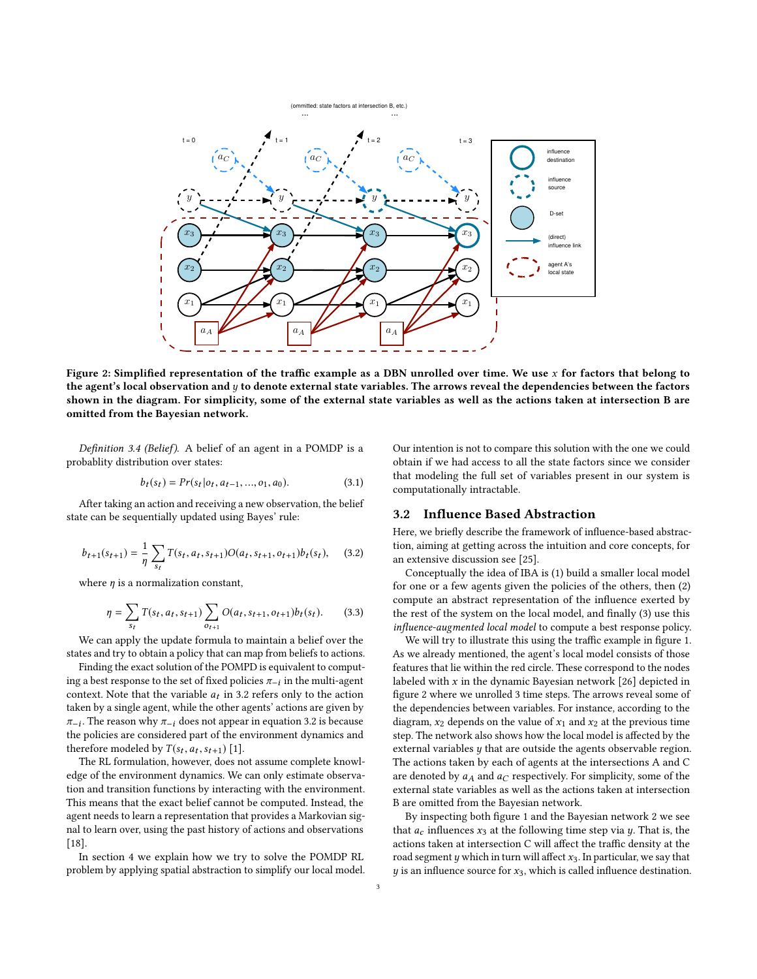<span id="page-2-1"></span>

Figure 2: Simplified representation of the traffic example as a DBN unrolled over time. We use  $x$  for factors that belong to the agent's local observation and  $y$  to denote external state variables. The arrows reveal the dependencies between the factors shown in the diagram. For simplicity, some of the external state variables as well as the actions taken at intersection B are omitted from the Bayesian network.

Definition 3.4 (Belief). A belief of an agent in a POMDP is a probablity distribution over states:

$$
b_t(s_t) = Pr(s_t|o_t, a_{t-1}, ..., o_1, a_0).
$$
 (3.1)

After taking an action and receiving a new observation, the belief state can be sequentially updated using Bayes' rule:

<span id="page-2-0"></span>
$$
b_{t+1}(s_{t+1}) = \frac{1}{\eta} \sum_{s_t} T(s_t, a_t, s_{t+1}) O(a_t, s_{t+1}, o_{t+1}) b_t(s_t), \quad (3.2)
$$

where  $\eta$  is a normalization constant,

$$
\eta = \sum_{s_t} T(s_t, a_t, s_{t+1}) \sum_{o_{t+1}} O(a_t, s_{t+1}, o_{t+1}) b_t(s_t). \tag{3.3}
$$

We can apply the update formula to maintain a belief over the states and try to obtain a policy that can map from beliefs to actions.

Finding the exact solution of the POMPD is equivalent to computing a best response to the set of fixed policies  $\pi_{-i}$  in the multi-agent context. Note that the variable  $a_i$  in 3.2 refers only to the action context. Note that the variable  $a_t$  in [3.2](#page-2-0) refers only to the action<br>taken by a single agent, while the other agents' actions are given by taken by a single agent, while the other agents' actions are given by π−<sub>i</sub>. The reason why π−<sub>i</sub> does not appear in equation 3.2 is because<br>the policies are considered part of the environment dynamics and  $\pi_{-i}$ . The reason why  $\pi_{-i}$  does not appear in equation [3.2](#page-2-0) is because therefore modeled by  $T(s_t, a_t, s_{t+1})$  [\[1\]](#page-7-25).<br>The RI formulation however does not

The RL formulation, however, does not assume complete knowledge of the environment dynamics. We can only estimate observation and transition functions by interacting with the environment. This means that the exact belief cannot be computed. Instead, the agent needs to learn a representation that provides a Markovian signal to learn over, using the past history of actions and observations [\[18\]](#page-7-26).

In section 4 we explain how we try to solve the POMDP RL problem by applying spatial abstraction to simplify our local model.

Our intention is not to compare this solution with the one we could obtain if we had access to all the state factors since we consider that modeling the full set of variables present in our system is computationally intractable.

#### 3.2 Influence Based Abstraction

Here, we briefly describe the framework of influence-based abstraction, aiming at getting across the intuition and core concepts, for an extensive discussion see [\[25\]](#page-7-19).

Conceptually the idea of IBA is (1) build a smaller local model for one or a few agents given the policies of the others, then (2) compute an abstract representation of the influence exerted by the rest of the system on the local model, and finally (3) use this influence-augmented local model to compute a best response policy.

We will try to illustrate this using the traffic example in figure [1.](#page-1-0) As we already mentioned, the agent's local model consists of those features that lie within the red circle. These correspond to the nodes labeled with  $x$  in the dynamic Bayesian network [\[26\]](#page-7-27) depicted in figure [2](#page-2-1) where we unrolled 3 time steps. The arrows reveal some of the dependencies between variables. For instance, according to the diagram,  $x_2$  depends on the value of  $x_1$  and  $x_2$  at the previous time step. The network also shows how the local model is affected by the external variables y that are outside the agents observable region. The actions taken by each of agents at the intersections A and C are denoted by  $a_A$  and  $a_C$  respectively. For simplicity, some of the external state variables as well as the actions taken at intersection B are omitted from the Bayesian network.

By inspecting both figure [1](#page-1-0) and the Bayesian network [2](#page-2-1) we see that  $a_c$  influences  $x_3$  at the following time step via  $y$ . That is, the actions taken at intersection C will affect the traffic density at the road segment  $y$  which in turn will affect  $x_3$ . In particular, we say that  $y$  is an influence source for  $x_3$ , which is called influence destination.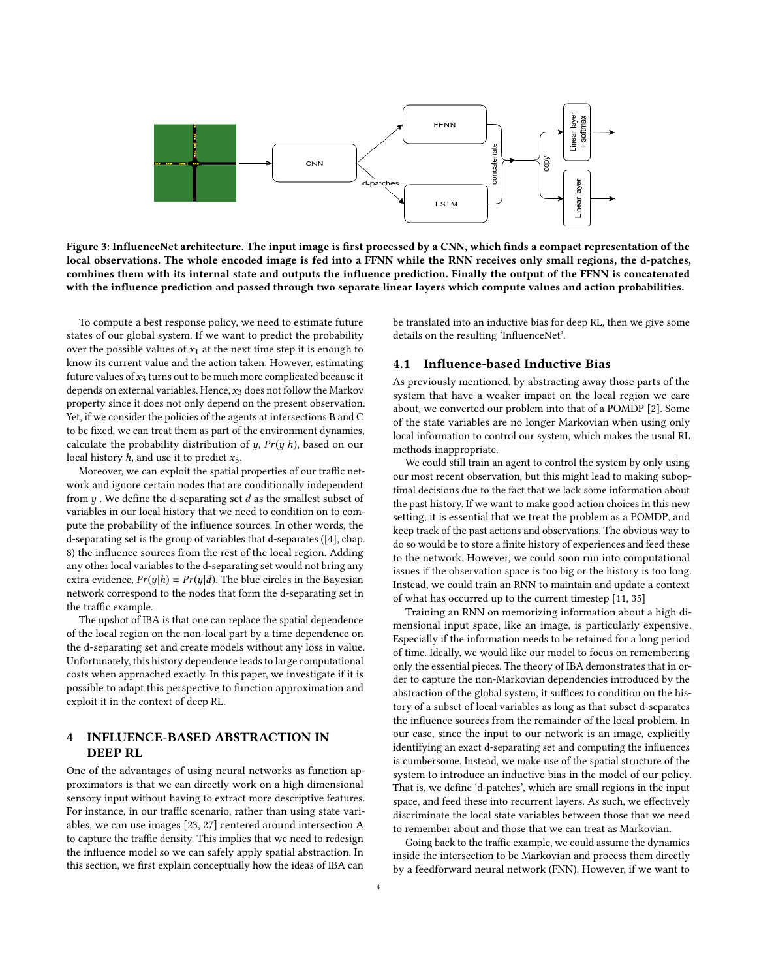<span id="page-3-0"></span>

Figure 3: InfluenceNet architecture. The input image is first processed by a CNN, which finds a compact representation of the local observations. The whole encoded image is fed into a FFNN while the RNN receives only small regions, the d-patches, combines them with its internal state and outputs the influence prediction. Finally the output of the FFNN is concatenated with the influence prediction and passed through two separate linear layers which compute values and action probabilities.

To compute a best response policy, we need to estimate future states of our global system. If we want to predict the probability over the possible values of  $x_1$  at the next time step it is enough to know its current value and the action taken. However, estimating future values of  $x_3$  turns out to be much more complicated because it depends on external variables. Hence,  $x_3$  does not follow the Markov property since it does not only depend on the present observation. Yet, if we consider the policies of the agents at intersections B and C to be fixed, we can treat them as part of the environment dynamics, calculate the probability distribution of  $y$ ,  $Pr(y|h)$ , based on our local history  $h$ , and use it to predict  $x_3$ .

Moreover, we can exploit the spatial properties of our traffic network and ignore certain nodes that are conditionally independent from  $y$ . We define the d-separating set  $d$  as the smallest subset of variables in our local history that we need to condition on to compute the probability of the influence sources. In other words, the d-separating set is the group of variables that d-separates ([\[4\]](#page-7-28), chap. 8) the influence sources from the rest of the local region. Adding any other local variables to the d-separating set would not bring any extra evidence,  $Pr(y|h) = Pr(y|d)$ . The blue circles in the Bayesian network correspond to the nodes that form the d-separating set in the traffic example.

The upshot of IBA is that one can replace the spatial dependence of the local region on the non-local part by a time dependence on the d-separating set and create models without any loss in value. Unfortunately, this history dependence leads to large computational costs when approached exactly. In this paper, we investigate if it is possible to adapt this perspective to function approximation and exploit it in the context of deep RL.

# 4 INFLUENCE-BASED ABSTRACTION IN DEEP RL

One of the advantages of using neural networks as function approximators is that we can directly work on a high dimensional sensory input without having to extract more descriptive features. For instance, in our traffic scenario, rather than using state variables, we can use images [\[23,](#page-7-29) [27\]](#page-7-30) centered around intersection A to capture the traffic density. This implies that we need to redesign the influence model so we can safely apply spatial abstraction. In this section, we first explain conceptually how the ideas of IBA can

be translated into an inductive bias for deep RL, then we give some details on the resulting 'InfluenceNet'.

## 4.1 Influence-based Inductive Bias

As previously mentioned, by abstracting away those parts of the system that have a weaker impact on the local region we care about, we converted our problem into that of a POMDP [\[2\]](#page-7-31). Some of the state variables are no longer Markovian when using only local information to control our system, which makes the usual RL methods inappropriate.

We could still train an agent to control the system by only using our most recent observation, but this might lead to making suboptimal decisions due to the fact that we lack some information about the past history. If we want to make good action choices in this new setting, it is essential that we treat the problem as a POMDP, and keep track of the past actions and observations. The obvious way to do so would be to store a finite history of experiences and feed these to the network. However, we could soon run into computational issues if the observation space is too big or the history is too long. Instead, we could train an RNN to maintain and update a context of what has occurred up to the current timestep [\[11,](#page-7-17) [35\]](#page-7-18)

Training an RNN on memorizing information about a high dimensional input space, like an image, is particularly expensive. Especially if the information needs to be retained for a long period of time. Ideally, we would like our model to focus on remembering only the essential pieces. The theory of IBA demonstrates that in order to capture the non-Markovian dependencies introduced by the abstraction of the global system, it suffices to condition on the history of a subset of local variables as long as that subset d-separates the influence sources from the remainder of the local problem. In our case, since the input to our network is an image, explicitly identifying an exact d-separating set and computing the influences is cumbersome. Instead, we make use of the spatial structure of the system to introduce an inductive bias in the model of our policy. That is, we define 'd-patches', which are small regions in the input space, and feed these into recurrent layers. As such, we effectively discriminate the local state variables between those that we need to remember about and those that we can treat as Markovian.

Going back to the traffic example, we could assume the dynamics inside the intersection to be Markovian and process them directly by a feedforward neural network (FNN). However, if we want to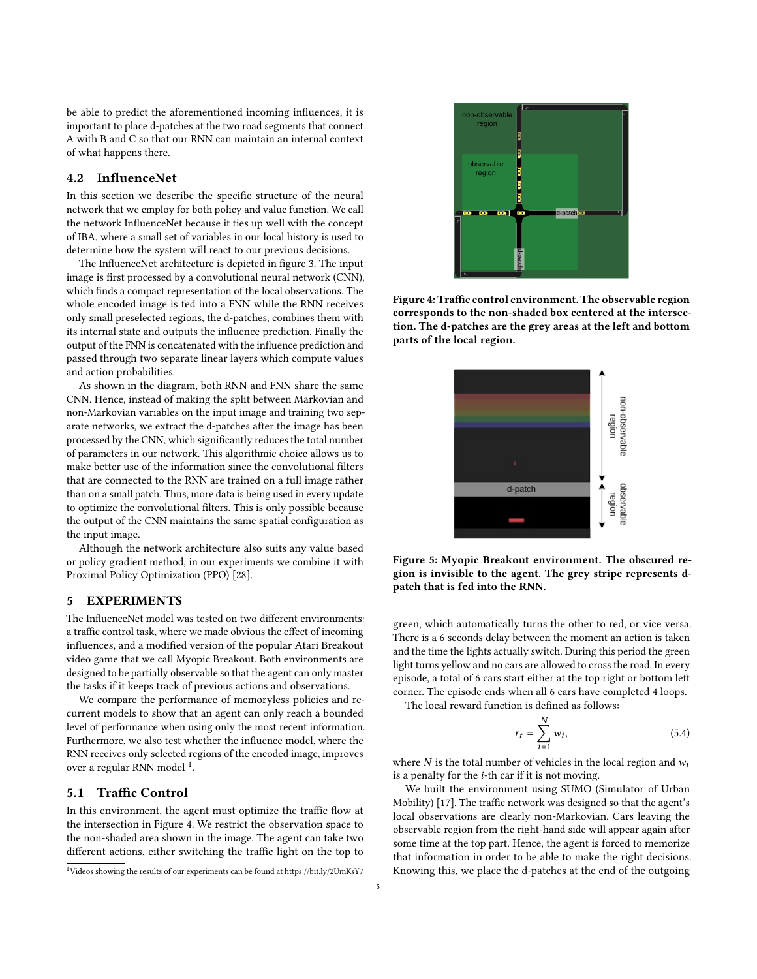be able to predict the aforementioned incoming influences, it is important to place d-patches at the two road segments that connect A with B and C so that our RNN can maintain an internal context of what happens there.

### 4.2 InfluenceNet

In this section we describe the specific structure of the neural network that we employ for both policy and value function. We call the network InfluenceNet because it ties up well with the concept of IBA, where a small set of variables in our local history is used to determine how the system will react to our previous decisions.

The InfluenceNet architecture is depicted in figure [3.](#page-3-0) The input image is first processed by a convolutional neural network (CNN), which finds a compact representation of the local observations. The whole encoded image is fed into a FNN while the RNN receives only small preselected regions, the d-patches, combines them with its internal state and outputs the influence prediction. Finally the output of the FNN is concatenated with the influence prediction and passed through two separate linear layers which compute values and action probabilities.

As shown in the diagram, both RNN and FNN share the same CNN. Hence, instead of making the split between Markovian and non-Markovian variables on the input image and training two separate networks, we extract the d-patches after the image has been processed by the CNN, which significantly reduces the total number of parameters in our network. This algorithmic choice allows us to make better use of the information since the convolutional filters that are connected to the RNN are trained on a full image rather than on a small patch. Thus, more data is being used in every update to optimize the convolutional filters. This is only possible because the output of the CNN maintains the same spatial configuration as the input image.

Although the network architecture also suits any value based or policy gradient method, in our experiments we combine it with Proximal Policy Optimization (PPO) [\[28\]](#page-7-32).

# 5 EXPERIMENTS

The InfluenceNet model was tested on two different environments: a traffic control task, where we made obvious the effect of incoming influences, and a modified version of the popular Atari Breakout video game that we call Myopic Breakout. Both environments are designed to be partially observable so that the agent can only master the tasks if it keeps track of previous actions and observations.

We compare the performance of memoryless policies and recurrent models to show that an agent can only reach a bounded level of performance when using only the most recent information. Furthermore, we also test whether the influence model, where the RNN receives only selected regions of the encoded image, improves over a regular RNN model <sup>[1](#page-4-0)</sup>.

#### 5.1 Traffic Control

In this environment, the agent must optimize the traffic flow at the intersection in Figure [4.](#page-4-1) We restrict the observation space to the non-shaded area shown in the image. The agent can take two different actions, either switching the traffic light on the top to

<span id="page-4-1"></span>

Figure 4: Traffic control environment. The observable region corresponds to the non-shaded box centered at the intersection. The d-patches are the grey areas at the left and bottom parts of the local region.

<span id="page-4-2"></span>

Figure 5: Myopic Breakout environment. The obscured region is invisible to the agent. The grey stripe represents dpatch that is fed into the RNN.

green, which automatically turns the other to red, or vice versa. There is a 6 seconds delay between the moment an action is taken and the time the lights actually switch. During this period the green light turns yellow and no cars are allowed to cross the road. In every episode, a total of 6 cars start either at the top right or bottom left corner. The episode ends when all 6 cars have completed 4 loops.

The local reward function is defined as follows:

$$
r_t = \sum_{i=1}^{N} w_i,
$$
\n(5.4)

where  $N$  is the total number of vehicles in the local region and  $w_i$ is a penalty for the i-th car if it is not moving.

We built the environment using SUMO (Simulator of Urban Mobility) [\[17\]](#page-7-20). The traffic network was designed so that the agent's local observations are clearly non-Markovian. Cars leaving the observable region from the right-hand side will appear again after some time at the top part. Hence, the agent is forced to memorize that information in order to be able to make the right decisions. Knowing this, we place the d-patches at the end of the outgoing

<span id="page-4-0"></span><sup>1</sup>Videos showing the results of our experiments can be found at<https://bit.ly/2UmKsY7>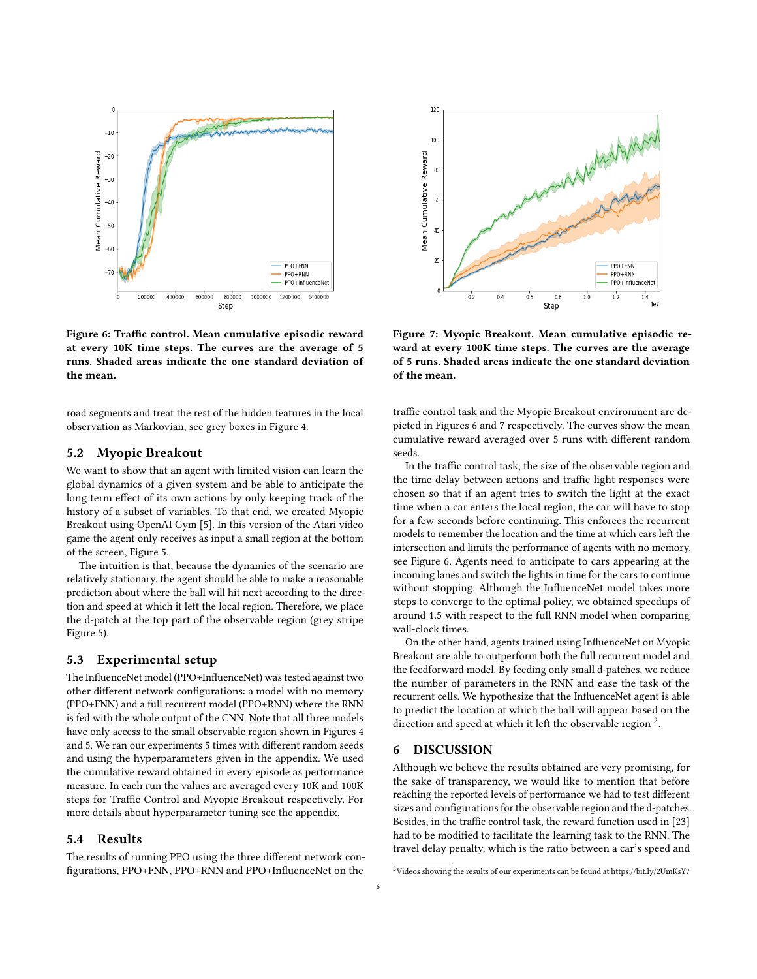<span id="page-5-0"></span>

Figure 6: Traffic control. Mean cumulative episodic reward at every 10K time steps. The curves are the average of 5 runs. Shaded areas indicate the one standard deviation of the mean.

road segments and treat the rest of the hidden features in the local observation as Markovian, see grey boxes in Figure [4.](#page-4-1)

# 5.2 Myopic Breakout

We want to show that an agent with limited vision can learn the global dynamics of a given system and be able to anticipate the long term effect of its own actions by only keeping track of the history of a subset of variables. To that end, we created Myopic Breakout using OpenAI Gym [\[5\]](#page-7-33). In this version of the Atari video game the agent only receives as input a small region at the bottom of the screen, Figure [5.](#page-4-2)

The intuition is that, because the dynamics of the scenario are relatively stationary, the agent should be able to make a reasonable prediction about where the ball will hit next according to the direction and speed at which it left the local region. Therefore, we place the d-patch at the top part of the observable region (grey stripe Figure [5\)](#page-4-2).

## 5.3 Experimental setup

The InfluenceNet model (PPO+InfluenceNet) was tested against two other different network configurations: a model with no memory (PPO+FNN) and a full recurrent model (PPO+RNN) where the RNN is fed with the whole output of the CNN. Note that all three models have only access to the small observable region shown in Figures [4](#page-4-1) and [5.](#page-4-2) We ran our experiments 5 times with different random seeds and using the hyperparameters given in the appendix. We used the cumulative reward obtained in every episode as performance measure. In each run the values are averaged every 10K and 100K steps for Traffic Control and Myopic Breakout respectively. For more details about hyperparameter tuning see the appendix.

#### 5.4 Results

The results of running PPO using the three different network configurations, PPO+FNN, PPO+RNN and PPO+InfluenceNet on the

<span id="page-5-1"></span>

Figure 7: Myopic Breakout. Mean cumulative episodic reward at every 100K time steps. The curves are the average of 5 runs. Shaded areas indicate the one standard deviation of the mean.

traffic control task and the Myopic Breakout environment are depicted in Figures [6](#page-5-0) and [7](#page-5-1) respectively. The curves show the mean cumulative reward averaged over 5 runs with different random seeds.

In the traffic control task, the size of the observable region and the time delay between actions and traffic light responses were chosen so that if an agent tries to switch the light at the exact time when a car enters the local region, the car will have to stop for a few seconds before continuing. This enforces the recurrent models to remember the location and the time at which cars left the intersection and limits the performance of agents with no memory, see Figure [6.](#page-5-0) Agents need to anticipate to cars appearing at the incoming lanes and switch the lights in time for the cars to continue without stopping. Although the InfluenceNet model takes more steps to converge to the optimal policy, we obtained speedups of around 1.5 with respect to the full RNN model when comparing wall-clock times.

On the other hand, agents trained using InfluenceNet on Myopic Breakout are able to outperform both the full recurrent model and the feedforward model. By feeding only small d-patches, we reduce the number of parameters in the RNN and ease the task of the recurrent cells. We hypothesize that the InfluenceNet agent is able to predict the location at which the ball will appear based on the direction and speed at which it left the observable region  $2$ .

#### 6 DISCUSSION

Although we believe the results obtained are very promising, for the sake of transparency, we would like to mention that before reaching the reported levels of performance we had to test different sizes and configurations for the observable region and the d-patches. Besides, in the traffic control task, the reward function used in [\[23\]](#page-7-29) had to be modified to facilitate the learning task to the RNN. The travel delay penalty, which is the ratio between a car's speed and

<span id="page-5-2"></span> $^2$ Videos showing the results of our experiments can be found at<https://bit.ly/2UmKsY7>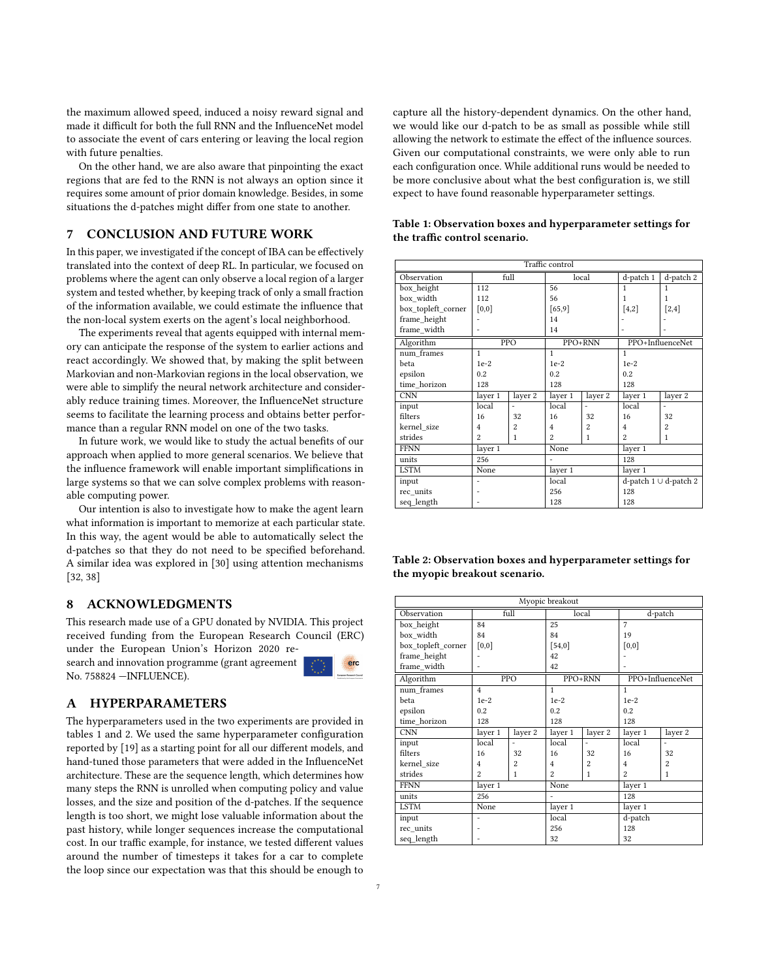the maximum allowed speed, induced a noisy reward signal and made it difficult for both the full RNN and the InfluenceNet model to associate the event of cars entering or leaving the local region with future penalties.

On the other hand, we are also aware that pinpointing the exact regions that are fed to the RNN is not always an option since it requires some amount of prior domain knowledge. Besides, in some situations the d-patches might differ from one state to another.

# 7 CONCLUSION AND FUTURE WORK

In this paper, we investigated if the concept of IBA can be effectively translated into the context of deep RL. In particular, we focused on problems where the agent can only observe a local region of a larger system and tested whether, by keeping track of only a small fraction of the information available, we could estimate the influence that the non-local system exerts on the agent's local neighborhood.

The experiments reveal that agents equipped with internal memory can anticipate the response of the system to earlier actions and react accordingly. We showed that, by making the split between Markovian and non-Markovian regions in the local observation, we were able to simplify the neural network architecture and considerably reduce training times. Moreover, the InfluenceNet structure seems to facilitate the learning process and obtains better performance than a regular RNN model on one of the two tasks.

In future work, we would like to study the actual benefits of our approach when applied to more general scenarios. We believe that the influence framework will enable important simplifications in large systems so that we can solve complex problems with reasonable computing power.

Our intention is also to investigate how to make the agent learn what information is important to memorize at each particular state. In this way, the agent would be able to automatically select the d-patches so that they do not need to be specified beforehand. A similar idea was explored in [\[30\]](#page-7-34) using attention mechanisms [\[32,](#page-7-35) [38\]](#page-7-36)

# 8 ACKNOWLEDGMENTS

This research made use of a GPU donated by NVIDIA. This project received funding from the European Research Council (ERC) under the European Union's Horizon 2020 re-

search and innovation programme (grant agreement No. 758824 —INFLUENCE).



#### A HYPERPARAMETERS

The hyperparameters used in the two experiments are provided in tables [1](#page-6-0) and [2.](#page-6-1) We used the same hyperparameter configuration reported by [\[19\]](#page-7-37) as a starting point for all our different models, and hand-tuned those parameters that were added in the InfluenceNet architecture. These are the sequence length, which determines how many steps the RNN is unrolled when computing policy and value losses, and the size and position of the d-patches. If the sequence length is too short, we might lose valuable information about the past history, while longer sequences increase the computational cost. In our traffic example, for instance, we tested different values around the number of timesteps it takes for a car to complete the loop since our expectation was that this should be enough to capture all the history-dependent dynamics. On the other hand, we would like our d-patch to be as small as possible while still allowing the network to estimate the effect of the influence sources. Given our computational constraints, we were only able to run each configuration once. While additional runs would be needed to be more conclusive about what the best configuration is, we still expect to have found reasonable hyperparameter settings.

| Traffic control    |                |                |                |                |                             |                |  |  |  |
|--------------------|----------------|----------------|----------------|----------------|-----------------------------|----------------|--|--|--|
| Observation        | full           |                | local          |                | $d$ -patch $1$              | d-patch 2      |  |  |  |
| box height         | 112            |                | 56             |                | 1                           | 1              |  |  |  |
| box width          | 112            |                | 56             |                | 1                           | 1              |  |  |  |
| box topleft corner | [0,0]          |                | [65, 9]        |                | [4,2]                       | $[2,4]$        |  |  |  |
| frame height       |                |                | 14             |                |                             |                |  |  |  |
| frame width        |                |                | 14             |                |                             |                |  |  |  |
| Algorithm          | PPO            |                | PPO+RNN        |                | PPO+InfluenceNet            |                |  |  |  |
| num frames         | 1              |                | $\mathbf{1}$   |                | $\mathbf{1}$                |                |  |  |  |
| beta               | $1e-2$         |                | $1e-2$         |                | $1e-2$                      |                |  |  |  |
| epsilon            | 0.2            |                | 0.2            |                | 0.2                         |                |  |  |  |
| time horizon       | 128            |                | 128            |                | 128                         |                |  |  |  |
| <b>CNN</b>         | layer 1        | layer 2        | layer 1        | layer 2        | layer 1                     | layer 2        |  |  |  |
| input              | local          |                | local          |                | local                       | ÷,             |  |  |  |
| filters            | 16             | 32             | 16             | 32             | 16                          | 32             |  |  |  |
| kernel_size        | $\overline{4}$ | $\overline{c}$ | $\overline{4}$ | $\overline{2}$ | $\overline{4}$              | $\overline{c}$ |  |  |  |
| strides            | $\overline{c}$ | 1              | $\mathfrak{p}$ | $\mathbf{1}$   | $\mathfrak{D}$              | $\mathbf{1}$   |  |  |  |
| <b>FFNN</b>        | layer 1        |                | None           |                | layer 1                     |                |  |  |  |
| units              | 256            |                |                |                | 128                         |                |  |  |  |
| <b>LSTM</b>        | None           |                | layer 1        |                | layer 1                     |                |  |  |  |
| input              |                |                | local          |                | d-patch $1 \cup d$ -patch 2 |                |  |  |  |
| rec units          |                |                | 256            |                | 128                         |                |  |  |  |
| seq length         |                |                | 128            |                | 128                         |                |  |  |  |

<span id="page-6-0"></span>Table 1: Observation boxes and hyperparameter settings for the traffic control scenario.

<span id="page-6-1"></span>

| Table 2: Observation boxes and hyperparameter settings for |  |
|------------------------------------------------------------|--|
| the myopic breakout scenario.                              |  |

| Myopic breakout    |                |                |                |                |                  |                |  |  |  |  |
|--------------------|----------------|----------------|----------------|----------------|------------------|----------------|--|--|--|--|
| Observation        | full           |                | local          |                | d-patch          |                |  |  |  |  |
| box height         | 84             |                | 25             |                | 7                |                |  |  |  |  |
| box width          | 84             |                | 84             |                | 19               |                |  |  |  |  |
| box topleft corner | [0,0]          |                | $[54,0]$       |                | [0,0]            |                |  |  |  |  |
| frame height       |                |                | 42             |                |                  |                |  |  |  |  |
| frame width        |                |                | 42             |                |                  |                |  |  |  |  |
| Algorithm          | PPO            |                | PPO+RNN        |                | PPO+InfluenceNet |                |  |  |  |  |
| num frames         | $\overline{4}$ |                | 1              |                | $\mathbf{1}$     |                |  |  |  |  |
| beta               | $1e-2$         |                | $1e-2$         |                | $1e-2$           |                |  |  |  |  |
| epsilon            | 0.2            |                | 0.2            |                | 0.2              |                |  |  |  |  |
| time horizon       | 128            |                | 128            |                | 128              |                |  |  |  |  |
| <b>CNN</b>         | layer 1        | layer 2        | layer 1        | layer 2        | layer 1          | layer 2        |  |  |  |  |
| input              | local          | ۰              | local          | ٠              | local            | ٠              |  |  |  |  |
| filters            | 16             | 32             | 16             | 32             | 16               | 32             |  |  |  |  |
| kernel size        | $\overline{4}$ | $\overline{c}$ | $\overline{4}$ | $\overline{c}$ | $\overline{4}$   | $\overline{2}$ |  |  |  |  |
| strides            | $\overline{c}$ | 1              | $\mathfrak{p}$ | 1              | $\overline{c}$   | $\mathbf{1}$   |  |  |  |  |
| <b>FFNN</b>        | layer 1        |                | None           |                | layer 1          |                |  |  |  |  |
| units              | 256            |                | $\overline{a}$ |                | 128              |                |  |  |  |  |
| <b>LSTM</b>        | None           |                | layer 1        |                | layer 1          |                |  |  |  |  |
| input              |                |                | local          |                | d-patch          |                |  |  |  |  |
| rec units          |                |                | 256            |                | 128              |                |  |  |  |  |
| seq length         |                |                | 32             |                | 32               |                |  |  |  |  |